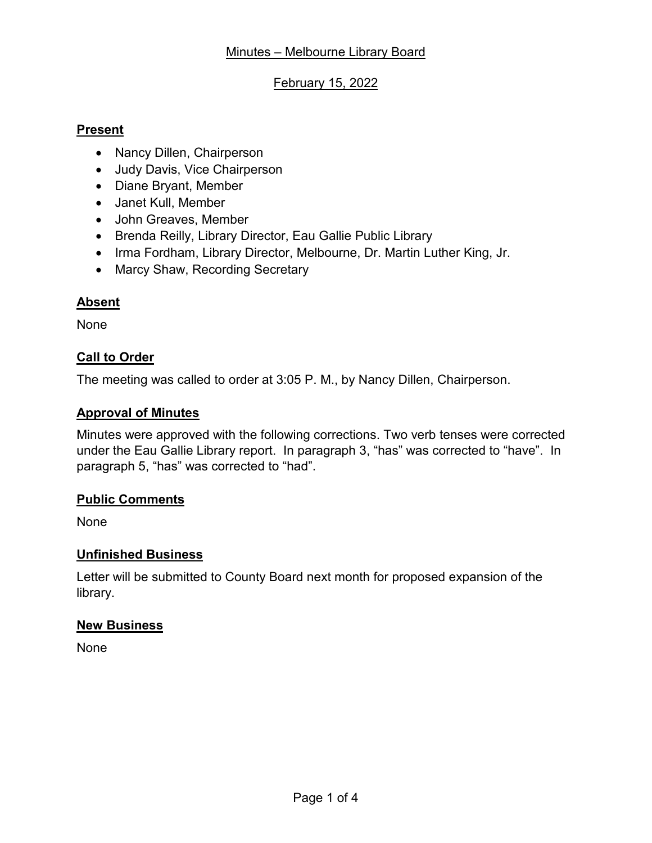# February 15, 2022

## **Present**

- Nancy Dillen, Chairperson
- Judy Davis, Vice Chairperson
- Diane Bryant, Member
- Janet Kull, Member
- John Greaves, Member
- Brenda Reilly, Library Director, Eau Gallie Public Library
- Irma Fordham, Library Director, Melbourne, Dr. Martin Luther King, Jr.
- Marcy Shaw, Recording Secretary

# **Absent**

None

# **Call to Order**

The meeting was called to order at 3:05 P. M., by Nancy Dillen, Chairperson.

# **Approval of Minutes**

Minutes were approved with the following corrections. Two verb tenses were corrected under the Eau Gallie Library report. In paragraph 3, "has" was corrected to "have". In paragraph 5, "has" was corrected to "had".

#### **Public Comments**

None

# **Unfinished Business**

Letter will be submitted to County Board next month for proposed expansion of the library.

#### **New Business**

None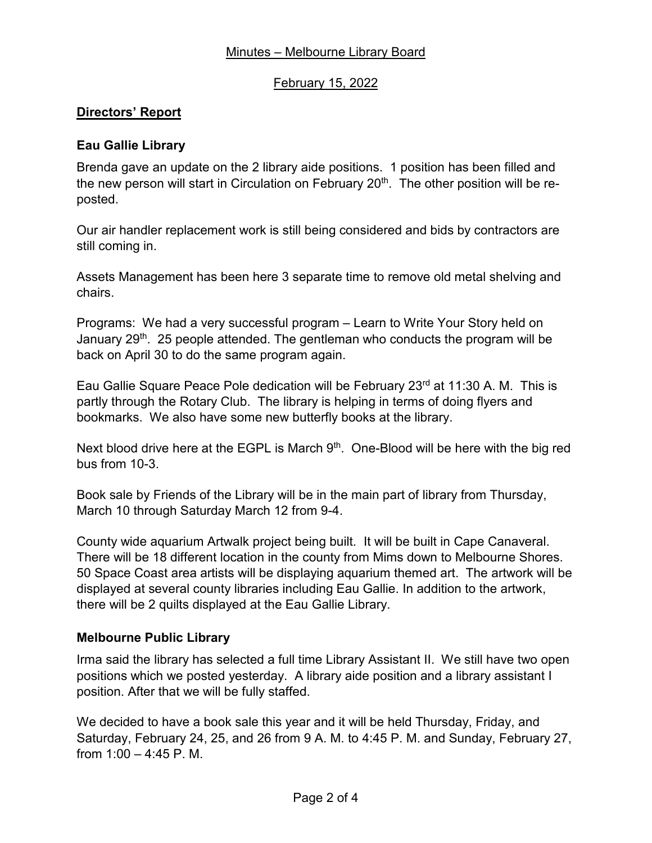# Minutes – Melbourne Library Board

### February 15, 2022

## **Directors' Report**

## **Eau Gallie Library**

Brenda gave an update on the 2 library aide positions. 1 position has been filled and the new person will start in Circulation on February  $20<sup>th</sup>$ . The other position will be reposted.

Our air handler replacement work is still being considered and bids by contractors are still coming in.

Assets Management has been here 3 separate time to remove old metal shelving and chairs.

Programs: We had a very successful program – Learn to Write Your Story held on January 29<sup>th</sup>. 25 people attended. The gentleman who conducts the program will be back on April 30 to do the same program again.

Eau Gallie Square Peace Pole dedication will be February  $23^{rd}$  at 11:30 A. M. This is partly through the Rotary Club. The library is helping in terms of doing flyers and bookmarks. We also have some new butterfly books at the library.

Next blood drive here at the EGPL is March  $9<sup>th</sup>$ . One-Blood will be here with the big red bus from 10-3.

Book sale by Friends of the Library will be in the main part of library from Thursday, March 10 through Saturday March 12 from 9-4.

County wide aquarium Artwalk project being built. It will be built in Cape Canaveral. There will be 18 different location in the county from Mims down to Melbourne Shores. 50 Space Coast area artists will be displaying aquarium themed art. The artwork will be displayed at several county libraries including Eau Gallie. In addition to the artwork, there will be 2 quilts displayed at the Eau Gallie Library.

#### **Melbourne Public Library**

Irma said the library has selected a full time Library Assistant II. We still have two open positions which we posted yesterday. A library aide position and a library assistant I position. After that we will be fully staffed.

We decided to have a book sale this year and it will be held Thursday, Friday, and Saturday, February 24, 25, and 26 from 9 A. M. to 4:45 P. M. and Sunday, February 27, from  $1:00 - 4:45$  P. M.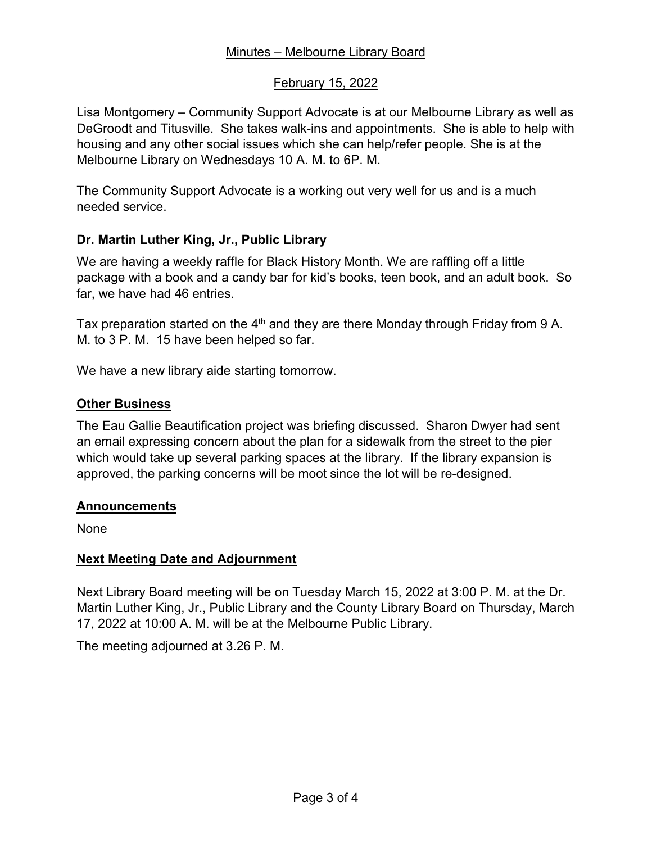# Minutes – Melbourne Library Board

### February 15, 2022

Lisa Montgomery – Community Support Advocate is at our Melbourne Library as well as DeGroodt and Titusville. She takes walk-ins and appointments. She is able to help with housing and any other social issues which she can help/refer people. She is at the Melbourne Library on Wednesdays 10 A. M. to 6P. M.

The Community Support Advocate is a working out very well for us and is a much needed service.

## **Dr. Martin Luther King, Jr., Public Library**

We are having a weekly raffle for Black History Month. We are raffling off a little package with a book and a candy bar for kid's books, teen book, and an adult book. So far, we have had 46 entries.

Tax preparation started on the  $4<sup>th</sup>$  and they are there Monday through Friday from 9 A. M. to 3 P. M. 15 have been helped so far.

We have a new library aide starting tomorrow.

#### **Other Business**

The Eau Gallie Beautification project was briefing discussed. Sharon Dwyer had sent an email expressing concern about the plan for a sidewalk from the street to the pier which would take up several parking spaces at the library. If the library expansion is approved, the parking concerns will be moot since the lot will be re-designed.

#### **Announcements**

None

#### **Next Meeting Date and Adjournment**

Next Library Board meeting will be on Tuesday March 15, 2022 at 3:00 P. M. at the Dr. Martin Luther King, Jr., Public Library and the County Library Board on Thursday, March 17, 2022 at 10:00 A. M. will be at the Melbourne Public Library.

The meeting adjourned at 3.26 P. M.